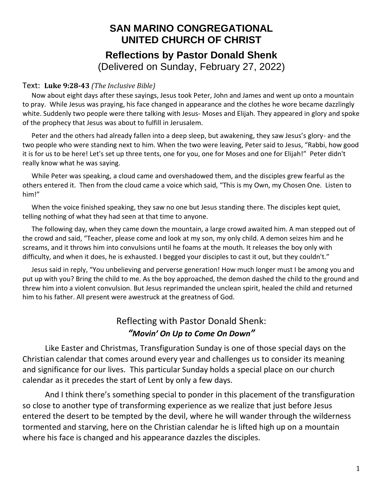## **SAN MARINO CONGREGATIONAL UNITED CHURCH OF CHRIST Reflections by Pastor Donald Shenk** (Delivered on Sunday, February 27, 2022)

## Text: **Luke 9:28-43** *(The Inclusive Bible)*

Now about eight days after these sayings, Jesus took Peter, John and James and went up onto a mountain to pray. While Jesus was praying, his face changed in appearance and the clothes he wore became dazzlingly white. Suddenly two people were there talking with Jesus- Moses and Elijah. They appeared in glory and spoke of the prophecy that Jesus was about to fulfill in Jerusalem.

Peter and the others had already fallen into a deep sleep, but awakening, they saw Jesus's glory- and the two people who were standing next to him. When the two were leaving, Peter said to Jesus, "Rabbi, how good it is for us to be here! Let's set up three tents, one for you, one for Moses and one for Elijah!" Peter didn't really know what he was saying.

While Peter was speaking, a cloud came and overshadowed them, and the disciples grew fearful as the others entered it. Then from the cloud came a voice which said, "This is my Own, my Chosen One. Listen to him!"

When the voice finished speaking, they saw no one but Jesus standing there. The disciples kept quiet, telling nothing of what they had seen at that time to anyone.

The following day, when they came down the mountain, a large crowd awaited him. A man stepped out of the crowd and said, "Teacher, please come and look at my son, my only child. A demon seizes him and he screams, and it throws him into convulsions until he foams at the mouth. It releases the boy only with difficulty, and when it does, he is exhausted. I begged your disciples to cast it out, but they couldn't."

Jesus said in reply, "You unbelieving and perverse generation! How much longer must I be among you and put up with you? Bring the child to me. As the boy approached, the demon dashed the child to the ground and threw him into a violent convulsion. But Jesus reprimanded the unclean spirit, healed the child and returned him to his father. All present were awestruck at the greatness of God.

## Reflecting with Pastor Donald Shenk: *"Movin' On Up to Come On Down"*

Like Easter and Christmas, Transfiguration Sunday is one of those special days on the Christian calendar that comes around every year and challenges us to consider its meaning and significance for our lives. This particular Sunday holds a special place on our church calendar as it precedes the start of Lent by only a few days.

And I think there's something special to ponder in this placement of the transfiguration so close to another type of transforming experience as we realize that just before Jesus entered the desert to be tempted by the devil, where he will wander through the wilderness tormented and starving, here on the Christian calendar he is lifted high up on a mountain where his face is changed and his appearance dazzles the disciples.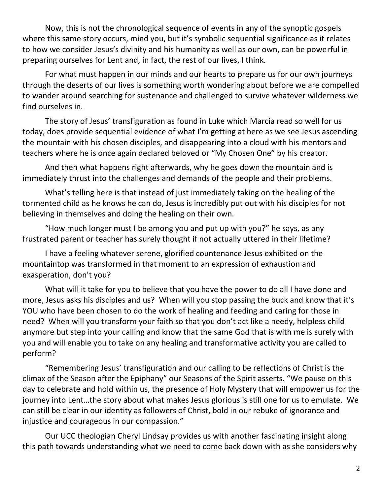Now, this is not the chronological sequence of events in any of the synoptic gospels where this same story occurs, mind you, but it's symbolic sequential significance as it relates to how we consider Jesus's divinity and his humanity as well as our own, can be powerful in preparing ourselves for Lent and, in fact, the rest of our lives, I think.

For what must happen in our minds and our hearts to prepare us for our own journeys through the deserts of our lives is something worth wondering about before we are compelled to wander around searching for sustenance and challenged to survive whatever wilderness we find ourselves in.

The story of Jesus' transfiguration as found in Luke which Marcia read so well for us today, does provide sequential evidence of what I'm getting at here as we see Jesus ascending the mountain with his chosen disciples, and disappearing into a cloud with his mentors and teachers where he is once again declared beloved or "My Chosen One" by his creator.

And then what happens right afterwards, why he goes down the mountain and is immediately thrust into the challenges and demands of the people and their problems.

What's telling here is that instead of just immediately taking on the healing of the tormented child as he knows he can do, Jesus is incredibly put out with his disciples for not believing in themselves and doing the healing on their own.

"How much longer must I be among you and put up with you?" he says, as any frustrated parent or teacher has surely thought if not actually uttered in their lifetime?

I have a feeling whatever serene, glorified countenance Jesus exhibited on the mountaintop was transformed in that moment to an expression of exhaustion and exasperation, don't you?

What will it take for you to believe that you have the power to do all I have done and more, Jesus asks his disciples and us? When will you stop passing the buck and know that it's YOU who have been chosen to do the work of healing and feeding and caring for those in need? When will you transform your faith so that you don't act like a needy, helpless child anymore but step into your calling and know that the same God that is with me is surely with you and will enable you to take on any healing and transformative activity you are called to perform?

"Remembering Jesus' transfiguration and our calling to be reflections of Christ is the climax of the Season after the Epiphany" our Seasons of the Spirit asserts. "We pause on this day to celebrate and hold within us, the presence of Holy Mystery that will empower us for the journey into Lent…the story about what makes Jesus glorious is still one for us to emulate. We can still be clear in our identity as followers of Christ, bold in our rebuke of ignorance and injustice and courageous in our compassion."

Our UCC theologian Cheryl Lindsay provides us with another fascinating insight along this path towards understanding what we need to come back down with as she considers why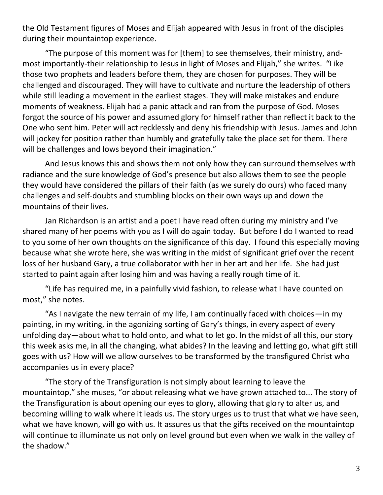the Old Testament figures of Moses and Elijah appeared with Jesus in front of the disciples during their mountaintop experience.

"The purpose of this moment was for [them] to see themselves, their ministry, andmost importantly-their relationship to Jesus in light of Moses and Elijah," she writes. "Like those two prophets and leaders before them, they are chosen for purposes. They will be challenged and discouraged. They will have to cultivate and nurture the leadership of others while still leading a movement in the earliest stages. They will make mistakes and endure moments of weakness. Elijah had a panic attack and ran from the purpose of God. Moses forgot the source of his power and assumed glory for himself rather than reflect it back to the One who sent him. Peter will act recklessly and deny his friendship with Jesus. James and John will jockey for position rather than humbly and gratefully take the place set for them. There will be challenges and lows beyond their imagination."

And Jesus knows this and shows them not only how they can surround themselves with radiance and the sure knowledge of God's presence but also allows them to see the people they would have considered the pillars of their faith (as we surely do ours) who faced many challenges and self-doubts and stumbling blocks on their own ways up and down the mountains of their lives.

Jan Richardson is an artist and a poet I have read often during my ministry and I've shared many of her poems with you as I will do again today. But before I do I wanted to read to you some of her own thoughts on the significance of this day. I found this especially moving because what she wrote here, she was writing in the midst of significant grief over the recent loss of her husband Gary, a true collaborator with her in her art and her life. She had just started to paint again after losing him and was having a really rough time of it.

"Life has required me, in a painfully vivid fashion, to release what I have counted on most," she notes.

"As I navigate the new terrain of my life, I am continually faced with choices—in my painting, in my writing, in the agonizing sorting of Gary's things, in every aspect of every unfolding day—about what to hold onto, and what to let go. In the midst of all this, our story this week asks me, in all the changing, what abides? In the leaving and letting go, what gift still goes with us? How will we allow ourselves to be transformed by the transfigured Christ who accompanies us in every place?

"The story of the Transfiguration is not simply about learning to leave the mountaintop," she muses, "or about releasing what we have grown attached to... The story of the Transfiguration is about opening our eyes to glory, allowing that glory to alter us, and becoming willing to walk where it leads us. The story urges us to trust that what we have seen, what we have known, will go with us. It assures us that the gifts received on the mountaintop will continue to illuminate us not only on level ground but even when we walk in the valley of the shadow."